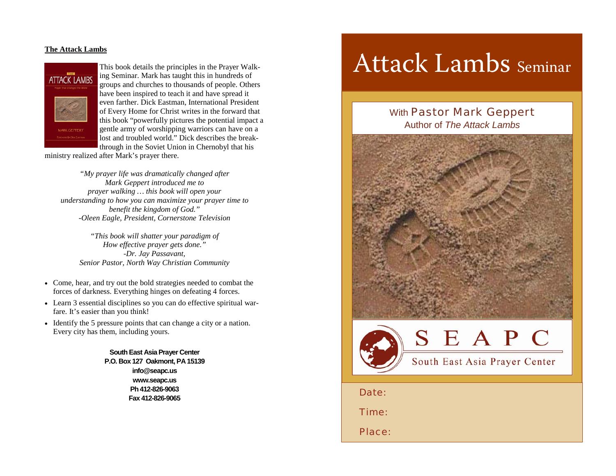## **The Attack Lambs**



This book details the principles in the Prayer Walking Seminar. Mark has taught this in hundreds of groups and churches to thousands of people. Others have been inspired to teach it and have spread it even farther. Dick Eastman, International President of Every Home for Christ writes in the forward that this book "powerfully pictures the potential impact a gentle army of worshipping warriors can have on a lost and troubled world." Dick describes the breakthrough in the Soviet Union in Chernobyl that his

ministry realized after Mark's prayer there.

*"My prayer life was dramatically changed after Mark Geppert introduced me to prayer walking … this book will open your understanding to how you can maximize your prayer time to benefit the kingdom of God." -Oleen Eagle, President, Cornerstone Television* 

*"This book will shatter your paradigm of How effective prayer gets done." -Dr. Jay Passavant, Senior Pastor, North Way Christian Community* 

- Come, hear, and try out the bold strategies needed to combat the forces of darkness. Everything hinges on defeating 4 forces.
- Learn 3 essential disciplines so you can do effective spiritual warfare. It's easier than you think!
- Identify the 5 pressure points that can change a city or a nation. Every city has them, including yours.

**South East Asia Prayer Center P.O. Box 127 Oakmont, PA 15139 info@seapc.us www.seapc.us Ph 412-826-9063 Fax 412-826-9065**

# Attack Lambs Seminar

## With **Pastor Mark Geppert** Author of *The Attack Lambs*





Date:

Time:

Place: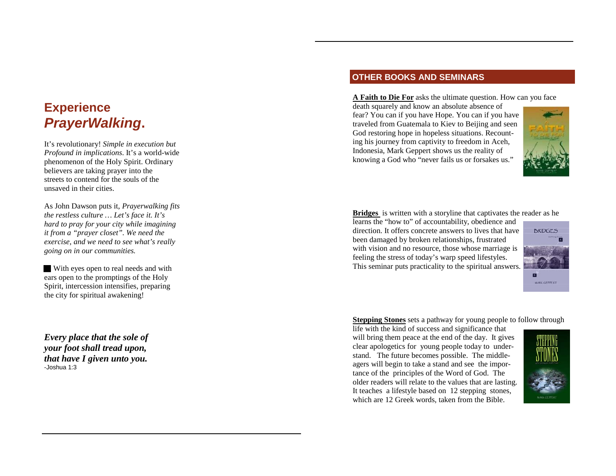## **Experience**  *PrayerWalking***.**

It's revolutionary! *Simple in execution but Profound in implications*. It's a world-wide phenomenon of the Holy Spirit. Ordinary believers are taking prayer into the streets to contend for the souls of the unsaved in their cities.

As John Dawson puts it, *Prayerwalking fits the restless culture … Let's face it. It's hard to pray for your city while imagining it from a "prayer closet". We need the exercise, and we need to see what's really going on in our communities.* 

With eyes open to real needs and with ears open to the promptings of the Holy Spirit, intercession intensifies, preparing the city for spiritual awakening!

*Every place that the sole of your foot shall tread upon, that have I given unto you.*  -Joshua 1:3

## **OTHER BOOKS AND SEMINARS**

**A Faith to Die For** asks the ultimate question. How can you face

death squarely and know an absolute absence of fear? You can if you have Hope. You can if you have traveled from Guatemala to Kiev to Beijing and seen God restoring hope in hopeless situations. Recounting his journey from captivity to freedom in Aceh, Indonesia, Mark Geppert shows us the reality of knowing a God who "never fails us or forsakes us."



**Bridges** is written with a storyline that captivates the reader as he

learns the "how to" of accountability, obedience and direction. It offers concrete answers to lives that have been damaged by broken relationships, frustrated with vision and no resource, those whose marriage is feeling the stress of today's warp speed lifestyles. This seminar puts practicality to the spiritual answers.



**Stepping Stones** sets a pathway for young people to follow through

life with the kind of success and significance that will bring them peace at the end of the day. It gives clear apologetics for young people today to understand. The future becomes possible. The middleagers will begin to take a stand and see the importance of the principles of the Word of God. The older readers will relate to the values that are lasting. It teaches a lifestyle based on 12 stepping stones, which are 12 Greek words, taken from the Bible.

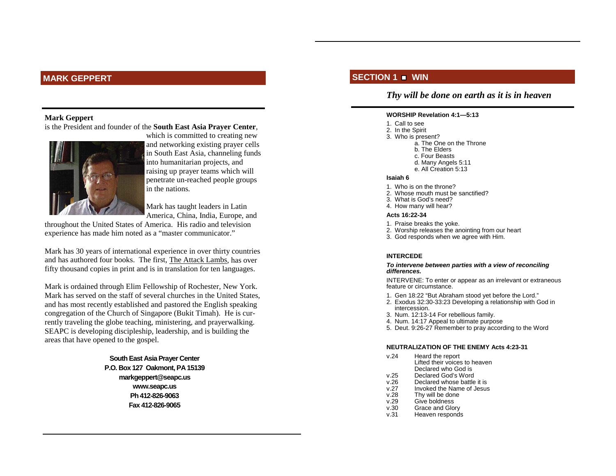## **MARK GEPPERT**

#### **Mark Geppert**

is the President and founder of the **South East Asia Prayer Center**,



which is committed to creating new and networking existing prayer cells in South East Asia, channeling funds into humanitarian projects, and raising up prayer teams which will penetrate un-reached people groups in the nations.

Mark has taught leaders in Latin America, China, India, Europe, and

throughout the United States of America. His radio and television experience has made him noted as a "master communicator."

Mark has 30 years of international experience in over thirty countries and has authored four books. The first, The Attack Lambs, has over fifty thousand copies in print and is in translation for ten languages.

Mark is ordained through Elim Fellowship of Rochester, New York. Mark has served on the staff of several churches in the United States, and has most recently established and pastored the English speaking congregation of the Church of Singapore (Bukit Timah). He is currently traveling the globe teaching, ministering, and prayerwalking. SEAPC is developing discipleship, leadership, and is building the areas that have opened to the gospel.

> **South East Asia Prayer Center P.O. Box 127 Oakmont, PA 15139 markgeppert@seapc.us www.seapc.us Ph 412-826-9063 Fax 412-826-9065**

## **SECTION 1 WIN**

## *Thy will be done on earth as it is in heaven*

#### **WORSHIP Revelation 4:1—5:13**

- 1. Call to see
- 2. In the Spirit
- 3. Who is present? a. The One on the Throne
	- b. The Elders
- c. Four Beasts
- d. Many Angels 5:11
	- e. All Creation 5:13

#### **Isaiah 6**

- 1. Who is on the throne?
- 2. Whose mouth must be sanctified?
- 3. What is God's need?
- 4. How many will hear?

#### **Acts 16:22-34**

- 1. Praise breaks the yoke.
- 2. Worship releases the anointing from our heart
- 3. God responds when we agree with Him.

#### **INTERCEDE**

#### *To intervene between parties with a view of reconciling differences.*

INTERVENE: To enter or appear as an irrelevant or extraneous feature or circumstance.

- 1. Gen 18:22 "But Abraham stood yet before the Lord."
- 2. Exodus 32:30-33:23 Developing a relationship with God in intercession.
- 3. Num. 12:13-14 For rebellious family.
- 4. Num. 14:17 Appeal to ultimate purpose
- 5. Deut. 9:26-27 Remember to pray according to the Word

#### **NEUTRALIZATION OF THE ENEMY Acts 4:23-31**

- v.24 Heard the report
	- Lifted their voices to heaven Declared who God is
- v.25 Declared God's Word
- v.26 Declared whose battle it is
- v.27 Invoked the Name of Jesus
- v.28 Thy will be done<br>v.29 Give boldness Give boldness
- 
- v.30 Grace and Glory
- v.31 Heaven responds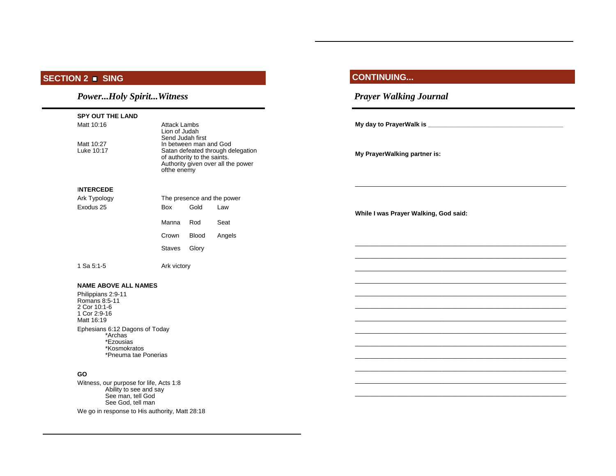#### **SECTION 2 SING**

## *Power...Holy Spirit...Witness*

| <b>SPY OUT THE LAND</b>                                                |                                                                                                                                                 |        |                                       |
|------------------------------------------------------------------------|-------------------------------------------------------------------------------------------------------------------------------------------------|--------|---------------------------------------|
| Matt 10:16<br><b>Attack Lambs</b><br>Lion of Judah<br>Send Judah first |                                                                                                                                                 |        |                                       |
| Matt 10:27<br>Luke 10:17                                               | In between man and God<br>Satan defeated through delegation<br>of authority to the saints.<br>Authority given over all the power<br>ofthe enemy |        | My PrayerWalking partner is:          |
| <b>INTERCEDE</b>                                                       |                                                                                                                                                 |        |                                       |
| Ark Typology                                                           | The presence and the power                                                                                                                      |        |                                       |
| Exodus 25                                                              | Gold<br>Box                                                                                                                                     | Law    | While I was Prayer Walking, God said: |
|                                                                        | Manna<br>Rod                                                                                                                                    | Seat   |                                       |
|                                                                        | Crown<br><b>Blood</b>                                                                                                                           | Angels |                                       |
|                                                                        | Glory<br>Staves                                                                                                                                 |        |                                       |
| 1 Sa 5:1-5                                                             | Ark victory                                                                                                                                     |        |                                       |
| <b>NAME ABOVE ALL NAMES</b>                                            |                                                                                                                                                 |        |                                       |
| Philippians 2:9-11<br>Romans 8:5-11                                    |                                                                                                                                                 |        |                                       |
| 2 Cor 10:1-6<br>1 Cor 2:9-16                                           |                                                                                                                                                 |        |                                       |
| Matt 16:19                                                             |                                                                                                                                                 |        |                                       |
|                                                                        | Ephesians 6:12 Dagons of Today                                                                                                                  |        |                                       |
| *Archas<br>*Ezousias                                                   |                                                                                                                                                 |        |                                       |
| *Kosmokratos                                                           | *Pneuma tae Ponerias                                                                                                                            |        |                                       |
|                                                                        |                                                                                                                                                 |        |                                       |
| <b>GO</b>                                                              | .                                                                                                                                               |        |                                       |

**CONTINUING...** 

*Prayer Walking Journal* 

\_\_\_\_\_\_\_\_\_\_\_\_\_\_\_\_\_\_\_\_\_\_\_\_\_\_\_\_\_\_\_\_\_\_\_\_\_\_\_\_\_\_\_\_\_\_\_\_\_\_\_\_\_\_\_\_\_\_\_\_\_

 Witness, our purpose for life, Acts 1:8 Ability to see and say See man, tell God See God, tell man

We go in response to His authority, Matt 28:18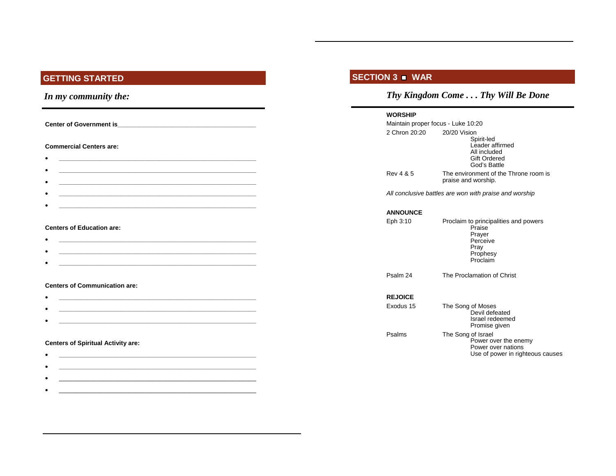## **GETTING STARTED**

## *In my community the:*

**Center of Government is\_\_\_\_\_\_\_\_\_\_\_\_\_\_\_\_\_\_\_\_\_\_\_\_\_\_\_\_\_\_\_\_\_\_\_\_\_\_\_\_** 

#### **Commercial Centers are:**

**\_\_\_\_\_\_\_\_\_\_\_\_\_\_\_\_\_\_\_\_\_\_\_\_\_\_\_\_\_\_\_\_\_\_\_\_\_\_\_\_\_\_\_\_\_\_\_\_\_\_\_\_\_\_\_\_\_**

#### **Centers of Education are:**

•

•

- **\_\_\_\_\_\_\_\_\_\_\_\_\_\_\_\_\_\_\_\_\_\_\_\_\_\_\_\_\_\_\_\_\_\_\_\_\_\_\_\_\_\_\_\_\_\_\_\_\_\_\_\_\_\_\_\_\_** • **\_\_\_\_\_\_\_\_\_\_\_\_\_\_\_\_\_\_\_\_\_\_\_\_\_\_\_\_\_\_\_\_\_\_\_\_\_\_\_\_\_\_\_\_\_\_\_\_\_\_\_\_\_\_\_\_\_**
- **\_\_\_\_\_\_\_\_\_\_\_\_\_\_\_\_\_\_\_\_\_\_\_\_\_\_\_\_\_\_\_\_\_\_\_\_\_\_\_\_\_\_\_\_\_\_\_\_\_\_\_\_\_\_\_\_\_**

#### **Centers of Communication are:**

- •
- **\_\_\_\_\_\_\_\_\_\_\_\_\_\_\_\_\_\_\_\_\_\_\_\_\_\_\_\_\_\_\_\_\_\_\_\_\_\_\_\_\_\_\_\_\_\_\_\_\_\_\_\_\_\_\_\_\_** • **\_\_\_\_\_\_\_\_\_\_\_\_\_\_\_\_\_\_\_\_\_\_\_\_\_\_\_\_\_\_\_\_\_\_\_\_\_\_\_\_\_\_\_\_\_\_\_\_\_\_\_\_\_\_\_\_\_**

#### **Centers of Spiritual Activity are:**

• **\_\_\_\_\_\_\_\_\_\_\_\_\_\_\_\_\_\_\_\_\_\_\_\_\_\_\_\_\_\_\_\_\_\_\_\_\_\_\_\_\_\_\_\_\_\_\_\_\_\_\_\_\_\_\_\_\_** • **\_\_\_\_\_\_\_\_\_\_\_\_\_\_\_\_\_\_\_\_\_\_\_\_\_\_\_\_\_\_\_\_\_\_\_\_\_\_\_\_\_\_\_\_\_\_\_\_\_\_\_\_\_\_\_\_\_** •  $\frac{1}{2}$  ,  $\frac{1}{2}$  ,  $\frac{1}{2}$  ,  $\frac{1}{2}$  ,  $\frac{1}{2}$  ,  $\frac{1}{2}$  ,  $\frac{1}{2}$  ,  $\frac{1}{2}$  ,  $\frac{1}{2}$  ,  $\frac{1}{2}$  ,  $\frac{1}{2}$  ,  $\frac{1}{2}$  ,  $\frac{1}{2}$  ,  $\frac{1}{2}$  ,  $\frac{1}{2}$  ,  $\frac{1}{2}$  ,  $\frac{1}{2}$  ,  $\frac{1}{2}$  ,  $\frac{1$ • \_\_\_\_\_\_\_\_\_\_\_\_\_\_\_\_\_\_\_\_\_\_\_\_\_\_\_\_\_\_\_\_\_\_\_\_\_\_\_\_\_\_\_\_\_\_\_\_\_\_\_\_\_\_\_\_\_

## **SECTION 3 WAR**

## *Thy Kingdom Come . . . Thy Will Be Done*

#### **WORSHIP**

| Maintain proper focus - Luke 10:20                     |                                                                                                       |  |  |  |  |
|--------------------------------------------------------|-------------------------------------------------------------------------------------------------------|--|--|--|--|
| 2 Chron 20:20                                          | 20/20 Vision<br>Spirit-led<br>Leader affirmed<br>All included<br><b>Gift Ordered</b><br>God's Battle  |  |  |  |  |
| Rev 4 & 5                                              | The environment of the Throne room is<br>praise and worship.                                          |  |  |  |  |
| All conclusive battles are won with praise and worship |                                                                                                       |  |  |  |  |
| <b>ANNOUNCE</b>                                        |                                                                                                       |  |  |  |  |
| Eph 3:10                                               | Proclaim to principalities and powers<br>Praise<br>Prayer<br>Perceive<br>Pray<br>Prophesy<br>Proclaim |  |  |  |  |
| Psalm 24                                               | The Proclamation of Christ                                                                            |  |  |  |  |
| <b>REJOICE</b>                                         |                                                                                                       |  |  |  |  |
| Exodus 15                                              | The Song of Moses<br>Devil defeated<br>Israel redeemed<br>Promise given                               |  |  |  |  |
| Psalms                                                 | The Song of Israel<br>Power over the enemy<br>Power over nations<br>Use of power in righteous causes  |  |  |  |  |